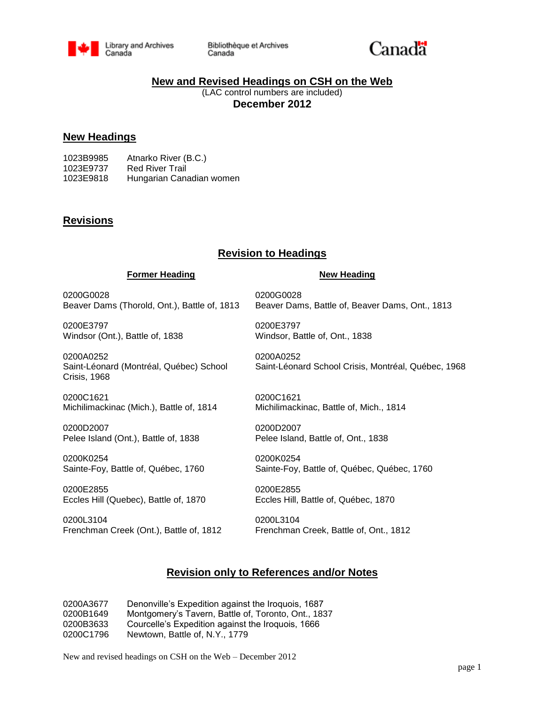

Bibliothèque et Archives Canada



## **New and Revised Headings on CSH on the Web**

(LAC control numbers are included) **December 2012**

### **New Headings**

| 1023B9985 | Atnarko River (B.C.)     |
|-----------|--------------------------|
| 1023E9737 | <b>Red River Trail</b>   |
| 1023E9818 | Hungarian Canadian women |

## **Revisions**

## **Revision to Headings**

#### **Former Heading New Heading**

0200G0028 0200G0028

0200E3797 0200E3797 Windsor (Ont.), Battle of, 1838 Windsor, Battle of, Ont., 1838

0200A0252 0200A0252 Crisis, 1968

0200C1621 0200C1621 Michilimackinac (Mich.), Battle of, 1814 Michilimackinac, Battle of, Mich., 1814

0200D2007 0200D2007 Pelee Island (Ont.), Battle of, 1838 Pelee Island, Battle of, Ont., 1838

0200K0254 0200K0254

0200E2855 0200E2855 Eccles Hill (Quebec), Battle of, 1870 Eccles Hill, Battle of, Québec, 1870

0200L3104 0200L3104 Frenchman Creek (Ont.), Battle of, 1812 Frenchman Creek, Battle of, Ont., 1812

Beaver Dams (Thorold, Ont.), Battle of, 1813 Beaver Dams, Battle of, Beaver Dams, Ont., 1813

Saint-Léonard (Montréal, Québec) School Saint-Léonard School Crisis, Montréal, Québec, 1968

Sainte-Foy, Battle of, Québec, 1760 Sainte-Foy, Battle of, Québec, Québec, 1760

## **Revision only to References and/or Notes**

0200A3677 Denonville's Expedition against the Iroquois, 1687 0200B1649 Montgomery's Tavern, Battle of, Toronto, Ont., 1837 0200B3633 Courcelle's Expedition against the Iroquois, 1666 0200C1796 Newtown, Battle of, N.Y., 1779

New and revised headings on CSH on the Web – December 2012